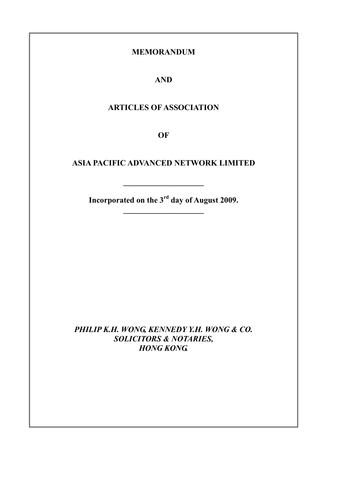## **MEMORADUM**

**AD** 

# **ARTICLES OF ASSOCIATION**

**OF** 

## **ASIA PACIFIC ADVANCED NETWORK LIMITED**

**Incorporated on the 3rd day of August 2009. \_\_\_\_\_\_\_\_\_\_\_\_\_\_\_\_\_\_\_\_** 

**\_\_\_\_\_\_\_\_\_\_\_\_\_\_\_\_\_\_\_\_** 

*PHILIP K.H. WO G, KE EDY Y.H. WO G & CO. SOLICITORS & OTARIES, HONG KONG*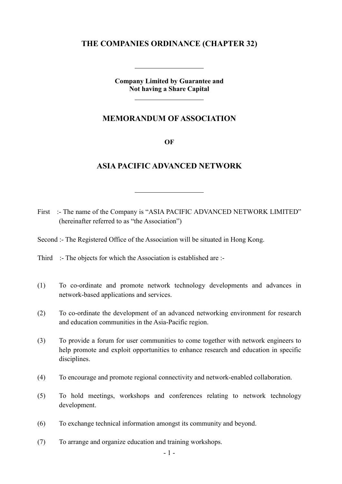## THE COMPANIES ORDINANCE (CHAPTER 32)

**Company Limited by Guarantee and ot having a Share Capital** 

 $\overline{a}$ 

 $\overline{a}$ 

## **MEMORANDUM OF ASSOCIATION**

**OF** 

#### **ASIA PACIFIC ADVANCED NETWORK**

First :- The name of the Company is "ASIA PACIFIC ADVANCED NETWORK LIMITED" (hereinafter referred to as "the Association")

Second :- The Registered Office of the Association will be situated in Hong Kong.

Third :- The objects for which the Association is established are :-

 $\overline{a}$ 

- (1) To co-ordinate and promote network technology developments and advances in network-based applications and services.
- (2) To co-ordinate the development of an advanced networking environment for research and education communities in the Asia-Pacific region.
- (3) To provide a forum for user communities to come together with network engineers to help promote and exploit opportunities to enhance research and education in specific disciplines.
- (4) To encourage and promote regional connectivity and network-enabled collaboration.
- (5) To hold meetings, workshops and conferences relating to network technology development.
- (6) To exchange technical information amongst its community and beyond.
- (7) To arrange and organize education and training workshops.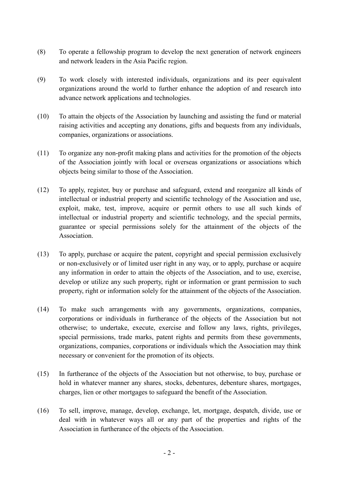- (8) To operate a fellowship program to develop the next generation of network engineers and network leaders in the Asia Pacific region.
- (9) To work closely with interested individuals, organizations and its peer equivalent organizations around the world to further enhance the adoption of and research into advance network applications and technologies.
- (10) To attain the objects of the Association by launching and assisting the fund or material raising activities and accepting any donations, gifts and bequests from any individuals, companies, organizations or associations.
- (11) To organize any non-profit making plans and activities for the promotion of the objects of the Association jointly with local or overseas organizations or associations which objects being similar to those of the Association.
- (12) To apply, register, buy or purchase and safeguard, extend and reorganize all kinds of intellectual or industrial property and scientific technology of the Association and use, exploit, make, test, improve, acquire or permit others to use all such kinds of intellectual or industrial property and scientific technology, and the special permits, guarantee or special permissions solely for the attainment of the objects of the **Association**
- (13) To apply, purchase or acquire the patent, copyright and special permission exclusively or non-exclusively or of limited user right in any way, or to apply, purchase or acquire any information in order to attain the objects of the Association, and to use, exercise, develop or utilize any such property, right or information or grant permission to such property, right or information solely for the attainment of the objects of the Association.
- (14) To make such arrangements with any governments, organizations, companies, corporations or individuals in furtherance of the objects of the Association but not otherwise; to undertake, execute, exercise and follow any laws, rights, privileges, special permissions, trade marks, patent rights and permits from these governments, organizations, companies, corporations or individuals which the Association may think necessary or convenient for the promotion of its objects.
- (15) In furtherance of the objects of the Association but not otherwise, to buy, purchase or hold in whatever manner any shares, stocks, debentures, debenture shares, mortgages, charges, lien or other mortgages to safeguard the benefit of the Association.
- (16) To sell, improve, manage, develop, exchange, let, mortgage, despatch, divide, use or deal with in whatever ways all or any part of the properties and rights of the Association in furtherance of the objects of the Association.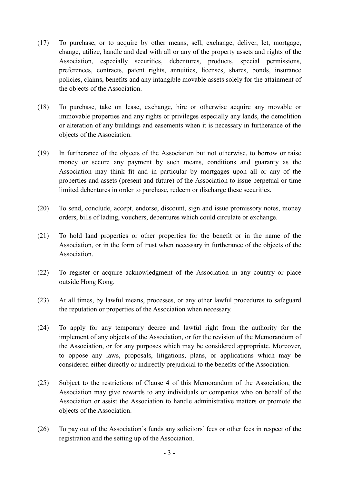- (17) To purchase, or to acquire by other means, sell, exchange, deliver, let, mortgage, change, utilize, handle and deal with all or any of the property assets and rights of the Association, especially securities, debentures, products, special permissions, preferences, contracts, patent rights, annuities, licenses, shares, bonds, insurance policies, claims, benefits and any intangible movable assets solely for the attainment of the objects of the Association.
- (18) To purchase, take on lease, exchange, hire or otherwise acquire any movable or immovable properties and any rights or privileges especially any lands, the demolition or alteration of any buildings and easements when it is necessary in furtherance of the objects of the Association.
- (19) In furtherance of the objects of the Association but not otherwise, to borrow or raise money or secure any payment by such means, conditions and guaranty as the Association may think fit and in particular by mortgages upon all or any of the properties and assets (present and future) of the Association to issue perpetual or time limited debentures in order to purchase, redeem or discharge these securities.
- (20) To send, conclude, accept, endorse, discount, sign and issue promissory notes, money orders, bills of lading, vouchers, debentures which could circulate or exchange.
- (21) To hold land properties or other properties for the benefit or in the name of the Association, or in the form of trust when necessary in furtherance of the objects of the Association.
- (22) To register or acquire acknowledgment of the Association in any country or place outside Hong Kong.
- (23) At all times, by lawful means, processes, or any other lawful procedures to safeguard the reputation or properties of the Association when necessary.
- (24) To apply for any temporary decree and lawful right from the authority for the implement of any objects of the Association, or for the revision of the Memorandum of the Association, or for any purposes which may be considered appropriate. Moreover, to oppose any laws, proposals, litigations, plans, or applications which may be considered either directly or indirectly prejudicial to the benefits of the Association.
- (25) Subject to the restrictions of Clause 4 of this Memorandum of the Association, the Association may give rewards to any individuals or companies who on behalf of the Association or assist the Association to handle administrative matters or promote the objects of the Association.
- (26) To pay out of the Association's funds any solicitors' fees or other fees in respect of the registration and the setting up of the Association.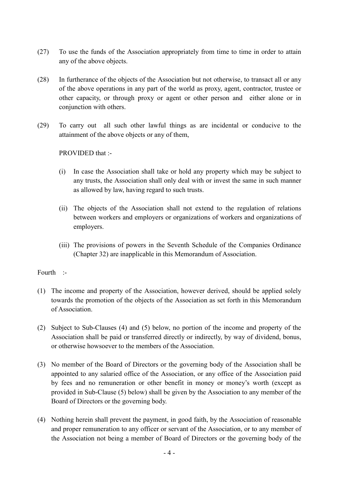- (27) To use the funds of the Association appropriately from time to time in order to attain any of the above objects.
- (28) In furtherance of the objects of the Association but not otherwise, to transact all or any of the above operations in any part of the world as proxy, agent, contractor, trustee or other capacity, or through proxy or agent or other person and either alone or in conjunction with others.
- (29) To carry out all such other lawful things as are incidental or conducive to the attainment of the above objects or any of them,

PROVIDED that :-

- (i) In case the Association shall take or hold any property which may be subject to any trusts, the Association shall only deal with or invest the same in such manner as allowed by law, having regard to such trusts.
- (ii) The objects of the Association shall not extend to the regulation of relations between workers and employers or organizations of workers and organizations of employers.
- (iii) The provisions of powers in the Seventh Schedule of the Companies Ordinance (Chapter 32) are inapplicable in this Memorandum of Association.

Fourth :-

- (1) The income and property of the Association, however derived, should be applied solely towards the promotion of the objects of the Association as set forth in this Memorandum of Association.
- (2) Subject to Sub-Clauses (4) and (5) below, no portion of the income and property of the Association shall be paid or transferred directly or indirectly, by way of dividend, bonus, or otherwise howsoever to the members of the Association.
- (3) No member of the Board of Directors or the governing body of the Association shall be appointed to any salaried office of the Association, or any office of the Association paid by fees and no remuneration or other benefit in money or money's worth (except as provided in Sub-Clause (5) below) shall be given by the Association to any member of the Board of Directors or the governing body.
- (4) Nothing herein shall prevent the payment, in good faith, by the Association of reasonable and proper remuneration to any officer or servant of the Association, or to any member of the Association not being a member of Board of Directors or the governing body of the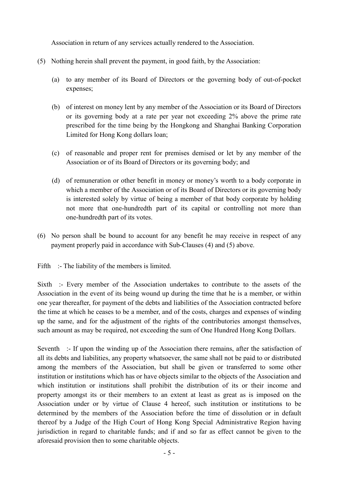Association in return of any services actually rendered to the Association.

- (5) Nothing herein shall prevent the payment, in good faith, by the Association:
	- (a) to any member of its Board of Directors or the governing body of out-of-pocket expenses;
	- (b) of interest on money lent by any member of the Association or its Board of Directors or its governing body at a rate per year not exceeding 2% above the prime rate prescribed for the time being by the Hongkong and Shanghai Banking Corporation Limited for Hong Kong dollars loan;
	- (c) of reasonable and proper rent for premises demised or let by any member of the Association or of its Board of Directors or its governing body; and
	- (d) of remuneration or other benefit in money or money's worth to a body corporate in which a member of the Association or of its Board of Directors or its governing body is interested solely by virtue of being a member of that body corporate by holding not more that one-hundredth part of its capital or controlling not more than one-hundredth part of its votes.
- (6) No person shall be bound to account for any benefit he may receive in respect of any payment properly paid in accordance with Sub-Clauses (4) and (5) above.

Fifth :- The liability of the members is limited.

Sixth :- Every member of the Association undertakes to contribute to the assets of the Association in the event of its being wound up during the time that he is a member, or within one year thereafter, for payment of the debts and liabilities of the Association contracted before the time at which he ceases to be a member, and of the costs, charges and expenses of winding up the same, and for the adjustment of the rights of the contributories amongst themselves, such amount as may be required, not exceeding the sum of One Hundred Hong Kong Dollars.

Seventh :- If upon the winding up of the Association there remains, after the satisfaction of all its debts and liabilities, any property whatsoever, the same shall not be paid to or distributed among the members of the Association, but shall be given or transferred to some other institution or institutions which has or have objects similar to the objects of the Association and which institution or institutions shall prohibit the distribution of its or their income and property amongst its or their members to an extent at least as great as is imposed on the Association under or by virtue of Clause 4 hereof, such institution or institutions to be determined by the members of the Association before the time of dissolution or in default thereof by a Judge of the High Court of Hong Kong Special Administrative Region having jurisdiction in regard to charitable funds; and if and so far as effect cannot be given to the aforesaid provision then to some charitable objects.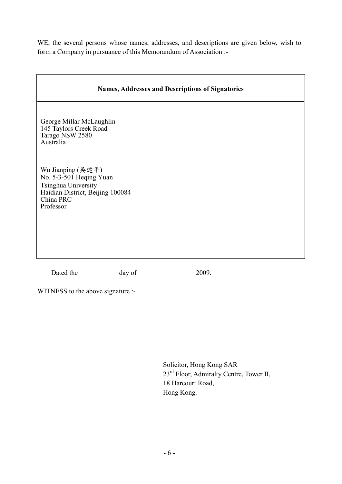WE, the several persons whose names, addresses, and descriptions are given below, wish to form a Company in pursuance of this Memorandum of Association :-

| <b>Names, Addresses and Descriptions of Signatories</b>                                                                           |        |       |  |  |  |
|-----------------------------------------------------------------------------------------------------------------------------------|--------|-------|--|--|--|
| George Millar McLaughlin<br>145 Taylors Creek Road<br>Tarago NSW 2580<br>Australia                                                |        |       |  |  |  |
| Wu Jianping (吳建平)<br>No. 5-3-501 Heqing Yuan<br>Tsinghua University<br>Haidian District, Beijing 100084<br>China PRC<br>Professor |        |       |  |  |  |
| Dated the                                                                                                                         | day of | 2009. |  |  |  |

WITNESS to the above signature :-

Solicitor, Hong Kong SAR  $23^{\text{rd}}$  Floor, Admiralty Centre, Tower II, 18 Harcourt Road, Hong Kong.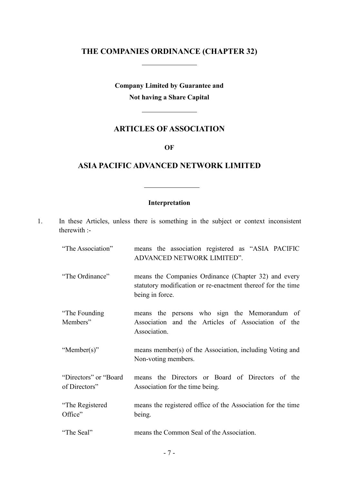# **THE COMPANIES ORDINANCE (CHAPTER 32)**

 $\overline{a}$ 

 $\overline{a}$ 

**Company Limited by Guarantee and ot having a Share Capital** 

## **ARTICLES OF ASSOCIATION**

**OF** 

## **ASIA PACIFIC ADVANCED NETWORK LIMITED**

### **Interpretation**

| 1. | In these Articles, unless there is something in the subject or context inconsistent<br>therewith :- |                                                                                                                                        |  |  |  |  |
|----|-----------------------------------------------------------------------------------------------------|----------------------------------------------------------------------------------------------------------------------------------------|--|--|--|--|
|    | "The Association"                                                                                   | means the association registered as "ASIA PACIFIC<br>ADVANCED NETWORK LIMITED".                                                        |  |  |  |  |
|    | "The Ordinance"                                                                                     | means the Companies Ordinance (Chapter 32) and every<br>statutory modification or re-enactment thereof for the time<br>being in force. |  |  |  |  |
|    | "The Founding<br>Members"                                                                           | means the persons who sign the Memorandum of<br>Association and the Articles of Association of the<br>Association.                     |  |  |  |  |
|    | "Member(s)"                                                                                         | means member(s) of the Association, including Voting and<br>Non-voting members.                                                        |  |  |  |  |
|    | "Directors" or "Board"<br>of Directors"                                                             | means the Directors or Board of Directors of the<br>Association for the time being.                                                    |  |  |  |  |
|    | "The Registered<br>Office"                                                                          | means the registered office of the Association for the time<br>being.                                                                  |  |  |  |  |
|    | "The Seal"                                                                                          | means the Common Seal of the Association.                                                                                              |  |  |  |  |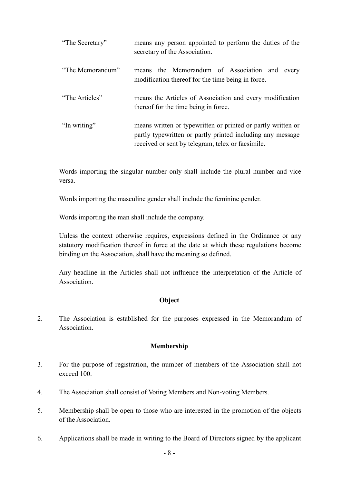| "The Secretary"  | means any person appointed to perform the duties of the<br>secretary of the Association.                                                                                        |  |  |  |  |
|------------------|---------------------------------------------------------------------------------------------------------------------------------------------------------------------------------|--|--|--|--|
| "The Memorandum" | means the Memorandum of Association and every<br>modification thereof for the time being in force.                                                                              |  |  |  |  |
| "The Articles"   | means the Articles of Association and every modification<br>thereof for the time being in force.                                                                                |  |  |  |  |
| "In writing"     | means written or typewritten or printed or partly written or<br>partly typewritten or partly printed including any message<br>received or sent by telegram, telex or facsimile. |  |  |  |  |

Words importing the singular number only shall include the plural number and vice versa.

Words importing the masculine gender shall include the feminine gender.

Words importing the man shall include the company.

Unless the context otherwise requires, expressions defined in the Ordinance or any statutory modification thereof in force at the date at which these regulations become binding on the Association, shall have the meaning so defined.

Any headline in the Articles shall not influence the interpretation of the Article of **Association** 

#### **Object**

2. The Association is established for the purposes expressed in the Memorandum of Association.

#### **Membership**

- 3. For the purpose of registration, the number of members of the Association shall not exceed 100.
- 4. The Association shall consist of Voting Members and Non-voting Members.
- 5. Membership shall be open to those who are interested in the promotion of the objects of the Association.
- 6. Applications shall be made in writing to the Board of Directors signed by the applicant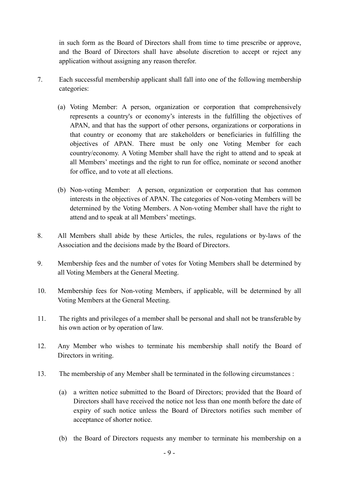in such form as the Board of Directors shall from time to time prescribe or approve, and the Board of Directors shall have absolute discretion to accept or reject any application without assigning any reason therefor.

- 7. Each successful membership applicant shall fall into one of the following membership categories:
	- (a) Voting Member: A person, organization or corporation that comprehensively represents a country's or economy's interests in the fulfilling the objectives of APAN, and that has the support of other persons, organizations or corporations in that country or economy that are stakeholders or beneficiaries in fulfilling the objectives of APAN. There must be only one Voting Member for each country/economy. A Voting Member shall have the right to attend and to speak at all Members' meetings and the right to run for office, nominate or second another for office, and to vote at all elections.
	- (b) Non-voting Member: A person, organization or corporation that has common interests in the objectives of APAN. The categories of Non-voting Members will be determined by the Voting Members. A Non-voting Member shall have the right to attend and to speak at all Members' meetings.
- 8. All Members shall abide by these Articles, the rules, regulations or by-laws of the Association and the decisions made by the Board of Directors.
- 9. Membership fees and the number of votes for Voting Members shall be determined by all Voting Members at the General Meeting.
- 10. Membership fees for Non-voting Members, if applicable, will be determined by all Voting Members at the General Meeting.
- 11. The rights and privileges of a member shall be personal and shall not be transferable by his own action or by operation of law.
- 12. Any Member who wishes to terminate his membership shall notify the Board of Directors in writing.
- 13. The membership of any Member shall be terminated in the following circumstances :
	- (a) a written notice submitted to the Board of Directors; provided that the Board of Directors shall have received the notice not less than one month before the date of expiry of such notice unless the Board of Directors notifies such member of acceptance of shorter notice.
	- (b) the Board of Directors requests any member to terminate his membership on a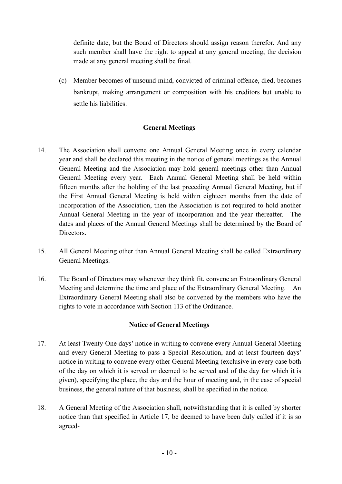definite date, but the Board of Directors should assign reason therefor. And any such member shall have the right to appeal at any general meeting, the decision made at any general meeting shall be final.

(c) Member becomes of unsound mind, convicted of criminal offence, died, becomes bankrupt, making arrangement or composition with his creditors but unable to settle his liabilities.

## **General Meetings**

- 14. The Association shall convene one Annual General Meeting once in every calendar year and shall be declared this meeting in the notice of general meetings as the Annual General Meeting and the Association may hold general meetings other than Annual General Meeting every year. Each Annual General Meeting shall be held within fifteen months after the holding of the last preceding Annual General Meeting, but if the First Annual General Meeting is held within eighteen months from the date of incorporation of the Association, then the Association is not required to hold another Annual General Meeting in the year of incorporation and the year thereafter. The dates and places of the Annual General Meetings shall be determined by the Board of Directors.
- 15. All General Meeting other than Annual General Meeting shall be called Extraordinary General Meetings.
- 16. The Board of Directors may whenever they think fit, convene an Extraordinary General Meeting and determine the time and place of the Extraordinary General Meeting. An Extraordinary General Meeting shall also be convened by the members who have the rights to vote in accordance with Section 113 of the Ordinance.

## **Notice of General Meetings**

- 17. At least Twenty-One days' notice in writing to convene every Annual General Meeting and every General Meeting to pass a Special Resolution, and at least fourteen days' notice in writing to convene every other General Meeting (exclusive in every case both of the day on which it is served or deemed to be served and of the day for which it is given), specifying the place, the day and the hour of meeting and, in the case of special business, the general nature of that business, shall be specified in the notice.
- 18. A General Meeting of the Association shall, notwithstanding that it is called by shorter notice than that specified in Article 17, be deemed to have been duly called if it is so agreed-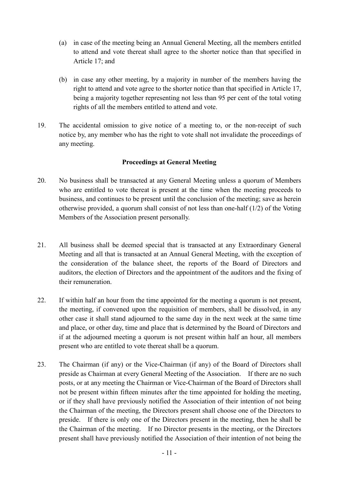- (a) in case of the meeting being an Annual General Meeting, all the members entitled to attend and vote thereat shall agree to the shorter notice than that specified in Article 17; and
- (b) in case any other meeting, by a majority in number of the members having the right to attend and vote agree to the shorter notice than that specified in Article 17, being a majority together representing not less than 95 per cent of the total voting rights of all the members entitled to attend and vote.
- 19. The accidental omission to give notice of a meeting to, or the non-receipt of such notice by, any member who has the right to vote shall not invalidate the proceedings of any meeting.

#### **Proceedings at General Meeting**

- 20. No business shall be transacted at any General Meeting unless a quorum of Members who are entitled to vote thereat is present at the time when the meeting proceeds to business, and continues to be present until the conclusion of the meeting; save as herein otherwise provided, a quorum shall consist of not less than one-half (1/2) of the Voting Members of the Association present personally.
- 21. All business shall be deemed special that is transacted at any Extraordinary General Meeting and all that is transacted at an Annual General Meeting, with the exception of the consideration of the balance sheet, the reports of the Board of Directors and auditors, the election of Directors and the appointment of the auditors and the fixing of their remuneration.
- 22. If within half an hour from the time appointed for the meeting a quorum is not present, the meeting, if convened upon the requisition of members, shall be dissolved, in any other case it shall stand adjourned to the same day in the next week at the same time and place, or other day, time and place that is determined by the Board of Directors and if at the adjourned meeting a quorum is not present within half an hour, all members present who are entitled to vote thereat shall be a quorum.
- 23. The Chairman (if any) or the Vice-Chairman (if any) of the Board of Directors shall preside as Chairman at every General Meeting of the Association. If there are no such posts, or at any meeting the Chairman or Vice-Chairman of the Board of Directors shall not be present within fifteen minutes after the time appointed for holding the meeting, or if they shall have previously notified the Association of their intention of not being the Chairman of the meeting, the Directors present shall choose one of the Directors to preside. If there is only one of the Directors present in the meeting, then he shall be the Chairman of the meeting. If no Director presents in the meeting, or the Directors present shall have previously notified the Association of their intention of not being the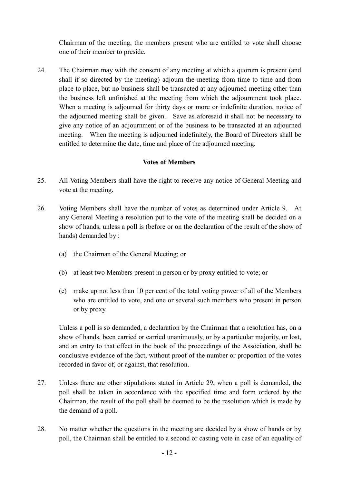Chairman of the meeting, the members present who are entitled to vote shall choose one of their member to preside.

24. The Chairman may with the consent of any meeting at which a quorum is present (and shall if so directed by the meeting) adjourn the meeting from time to time and from place to place, but no business shall be transacted at any adjourned meeting other than the business left unfinished at the meeting from which the adjournment took place. When a meeting is adjourned for thirty days or more or indefinite duration, notice of the adjourned meeting shall be given. Save as aforesaid it shall not be necessary to give any notice of an adjournment or of the business to be transacted at an adjourned meeting. When the meeting is adjourned indefinitely, the Board of Directors shall be entitled to determine the date, time and place of the adjourned meeting.

#### **Votes of Members**

- 25. All Voting Members shall have the right to receive any notice of General Meeting and vote at the meeting.
- 26. Voting Members shall have the number of votes as determined under Article 9. At any General Meeting a resolution put to the vote of the meeting shall be decided on a show of hands, unless a poll is (before or on the declaration of the result of the show of hands) demanded by :
	- (a) the Chairman of the General Meeting; or
	- (b) at least two Members present in person or by proxy entitled to vote; or
	- (c) make up not less than 10 per cent of the total voting power of all of the Members who are entitled to vote, and one or several such members who present in person or by proxy.

Unless a poll is so demanded, a declaration by the Chairman that a resolution has, on a show of hands, been carried or carried unanimously, or by a particular majority, or lost, and an entry to that effect in the book of the proceedings of the Association, shall be conclusive evidence of the fact, without proof of the number or proportion of the votes recorded in favor of, or against, that resolution.

- 27. Unless there are other stipulations stated in Article 29, when a poll is demanded, the poll shall be taken in accordance with the specified time and form ordered by the Chairman, the result of the poll shall be deemed to be the resolution which is made by the demand of a poll.
- 28. No matter whether the questions in the meeting are decided by a show of hands or by poll, the Chairman shall be entitled to a second or casting vote in case of an equality of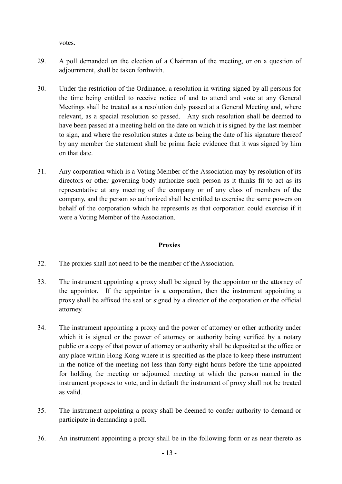votes.

- 29. A poll demanded on the election of a Chairman of the meeting, or on a question of adjournment, shall be taken forthwith.
- 30. Under the restriction of the Ordinance, a resolution in writing signed by all persons for the time being entitled to receive notice of and to attend and vote at any General Meetings shall be treated as a resolution duly passed at a General Meeting and, where relevant, as a special resolution so passed. Any such resolution shall be deemed to have been passed at a meeting held on the date on which it is signed by the last member to sign, and where the resolution states a date as being the date of his signature thereof by any member the statement shall be prima facie evidence that it was signed by him on that date.
- 31. Any corporation which is a Voting Member of the Association may by resolution of its directors or other governing body authorize such person as it thinks fit to act as its representative at any meeting of the company or of any class of members of the company, and the person so authorized shall be entitled to exercise the same powers on behalf of the corporation which he represents as that corporation could exercise if it were a Voting Member of the Association.

#### **Proxies**

- 32. The proxies shall not need to be the member of the Association.
- 33. The instrument appointing a proxy shall be signed by the appointor or the attorney of the appointor. If the appointor is a corporation, then the instrument appointing a proxy shall be affixed the seal or signed by a director of the corporation or the official attorney.
- 34. The instrument appointing a proxy and the power of attorney or other authority under which it is signed or the power of attorney or authority being verified by a notary public or a copy of that power of attorney or authority shall be deposited at the office or any place within Hong Kong where it is specified as the place to keep these instrument in the notice of the meeting not less than forty-eight hours before the time appointed for holding the meeting or adjourned meeting at which the person named in the instrument proposes to vote, and in default the instrument of proxy shall not be treated as valid.
- 35. The instrument appointing a proxy shall be deemed to confer authority to demand or participate in demanding a poll.
- 36. An instrument appointing a proxy shall be in the following form or as near thereto as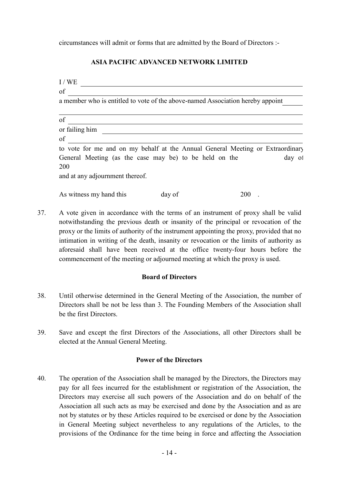circumstances will admit or forms that are admitted by the Board of Directors :-

## **ASIA PACIFIC ADVANCED NETWORK LIMITED**

I / WE

of

a member who is entitled to vote of the above-named Association hereby appoint

| of                                                                             |        |     |                   |
|--------------------------------------------------------------------------------|--------|-----|-------------------|
| or failing him                                                                 |        |     |                   |
| of                                                                             |        |     |                   |
| to vote for me and on my behalf at the Annual General Meeting or Extraordinary |        |     |                   |
| General Meeting (as the case may be) to be held on the<br>200                  |        |     | day <sub>o1</sub> |
| and at any adjournment thereof.                                                |        |     |                   |
| As witness my hand this                                                        | day of | 200 |                   |

37. A vote given in accordance with the terms of an instrument of proxy shall be valid notwithstanding the previous death or insanity of the principal or revocation of the proxy or the limits of authority of the instrument appointing the proxy, provided that no intimation in writing of the death, insanity or revocation or the limits of authority as aforesaid shall have been received at the office twenty-four hours before the commencement of the meeting or adjourned meeting at which the proxy is used.

#### **Board of Directors**

- 38. Until otherwise determined in the General Meeting of the Association, the number of Directors shall be not be less than 3. The Founding Members of the Association shall be the first Directors.
- 39. Save and except the first Directors of the Associations, all other Directors shall be elected at the Annual General Meeting.

#### **Power of the Directors**

40. The operation of the Association shall be managed by the Directors, the Directors may pay for all fees incurred for the establishment or registration of the Association, the Directors may exercise all such powers of the Association and do on behalf of the Association all such acts as may be exercised and done by the Association and as are not by statutes or by these Articles required to be exercised or done by the Association in General Meeting subject nevertheless to any regulations of the Articles, to the provisions of the Ordinance for the time being in force and affecting the Association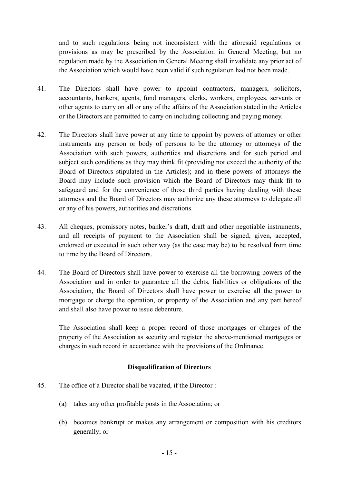and to such regulations being not inconsistent with the aforesaid regulations or provisions as may be prescribed by the Association in General Meeting, but no regulation made by the Association in General Meeting shall invalidate any prior act of the Association which would have been valid if such regulation had not been made.

- 41. The Directors shall have power to appoint contractors, managers, solicitors, accountants, bankers, agents, fund managers, clerks, workers, employees, servants or other agents to carry on all or any of the affairs of the Association stated in the Articles or the Directors are permitted to carry on including collecting and paying money.
- 42. The Directors shall have power at any time to appoint by powers of attorney or other instruments any person or body of persons to be the attorney or attorneys of the Association with such powers, authorities and discretions and for such period and subject such conditions as they may think fit (providing not exceed the authority of the Board of Directors stipulated in the Articles); and in these powers of attorneys the Board may include such provision which the Board of Directors may think fit to safeguard and for the convenience of those third parties having dealing with these attorneys and the Board of Directors may authorize any these attorneys to delegate all or any of his powers, authorities and discretions.
- 43. All cheques, promissory notes, banker's draft, draft and other negotiable instruments, and all receipts of payment to the Association shall be signed, given, accepted, endorsed or executed in such other way (as the case may be) to be resolved from time to time by the Board of Directors.
- 44. The Board of Directors shall have power to exercise all the borrowing powers of the Association and in order to guarantee all the debts, liabilities or obligations of the Association, the Board of Directors shall have power to exercise all the power to mortgage or charge the operation, or property of the Association and any part hereof and shall also have power to issue debenture.

The Association shall keep a proper record of those mortgages or charges of the property of the Association as security and register the above-mentioned mortgages or charges in such record in accordance with the provisions of the Ordinance.

#### **Disqualification of Directors**

- 45. The office of a Director shall be vacated, if the Director :
	- (a) takes any other profitable posts in the Association; or
	- (b) becomes bankrupt or makes any arrangement or composition with his creditors generally; or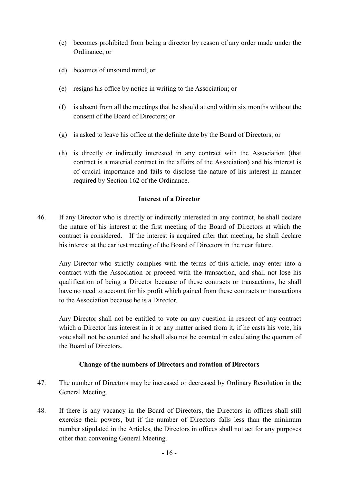- (c) becomes prohibited from being a director by reason of any order made under the Ordinance; or
- (d) becomes of unsound mind; or
- (e) resigns his office by notice in writing to the Association; or
- (f) is absent from all the meetings that he should attend within six months without the consent of the Board of Directors; or
- (g) is asked to leave his office at the definite date by the Board of Directors; or
- (h) is directly or indirectly interested in any contract with the Association (that contract is a material contract in the affairs of the Association) and his interest is of crucial importance and fails to disclose the nature of his interest in manner required by Section 162 of the Ordinance.

## **Interest of a Director**

46. If any Director who is directly or indirectly interested in any contract, he shall declare the nature of his interest at the first meeting of the Board of Directors at which the contract is considered. If the interest is acquired after that meeting, he shall declare his interest at the earliest meeting of the Board of Directors in the near future.

Any Director who strictly complies with the terms of this article, may enter into a contract with the Association or proceed with the transaction, and shall not lose his qualification of being a Director because of these contracts or transactions, he shall have no need to account for his profit which gained from these contracts or transactions to the Association because he is a Director.

Any Director shall not be entitled to vote on any question in respect of any contract which a Director has interest in it or any matter arised from it, if he casts his vote, his vote shall not be counted and he shall also not be counted in calculating the quorum of the Board of Directors.

## **Change of the numbers of Directors and rotation of Directors**

- 47. The number of Directors may be increased or decreased by Ordinary Resolution in the General Meeting.
- 48. If there is any vacancy in the Board of Directors, the Directors in offices shall still exercise their powers, but if the number of Directors falls less than the minimum number stipulated in the Articles, the Directors in offices shall not act for any purposes other than convening General Meeting.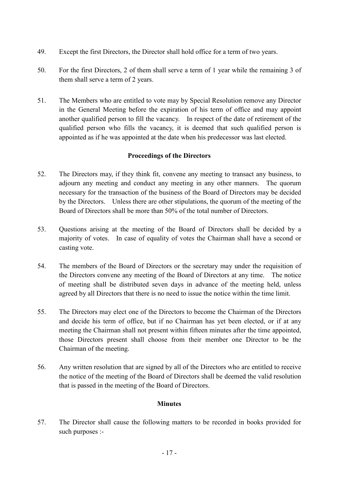- 49. Except the first Directors, the Director shall hold office for a term of two years.
- 50. For the first Directors, 2 of them shall serve a term of 1 year while the remaining 3 of them shall serve a term of 2 years.
- 51. The Members who are entitled to vote may by Special Resolution remove any Director in the General Meeting before the expiration of his term of office and may appoint another qualified person to fill the vacancy. In respect of the date of retirement of the qualified person who fills the vacancy, it is deemed that such qualified person is appointed as if he was appointed at the date when his predecessor was last elected.

## **Proceedings of the Directors**

- 52. The Directors may, if they think fit, convene any meeting to transact any business, to adjourn any meeting and conduct any meeting in any other manners. The quorum necessary for the transaction of the business of the Board of Directors may be decided by the Directors. Unless there are other stipulations, the quorum of the meeting of the Board of Directors shall be more than 50% of the total number of Directors.
- 53. Questions arising at the meeting of the Board of Directors shall be decided by a majority of votes. In case of equality of votes the Chairman shall have a second or casting vote.
- 54. The members of the Board of Directors or the secretary may under the requisition of the Directors convene any meeting of the Board of Directors at any time. The notice of meeting shall be distributed seven days in advance of the meeting held, unless agreed by all Directors that there is no need to issue the notice within the time limit.
- 55. The Directors may elect one of the Directors to become the Chairman of the Directors and decide his term of office, but if no Chairman has yet been elected, or if at any meeting the Chairman shall not present within fifteen minutes after the time appointed, those Directors present shall choose from their member one Director to be the Chairman of the meeting.
- 56. Any written resolution that are signed by all of the Directors who are entitled to receive the notice of the meeting of the Board of Directors shall be deemed the valid resolution that is passed in the meeting of the Board of Directors.

## **Minutes**

57. The Director shall cause the following matters to be recorded in books provided for such purposes :-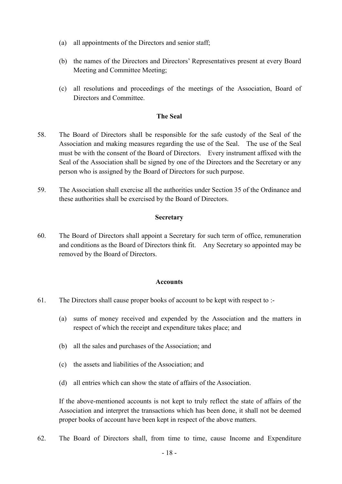- (a) all appointments of the Directors and senior staff;
- (b) the names of the Directors and Directors' Representatives present at every Board Meeting and Committee Meeting;
- (c) all resolutions and proceedings of the meetings of the Association, Board of Directors and Committee.

#### **The Seal**

- 58. The Board of Directors shall be responsible for the safe custody of the Seal of the Association and making measures regarding the use of the Seal. The use of the Seal must be with the consent of the Board of Directors. Every instrument affixed with the Seal of the Association shall be signed by one of the Directors and the Secretary or any person who is assigned by the Board of Directors for such purpose.
- 59. The Association shall exercise all the authorities under Section 35 of the Ordinance and these authorities shall be exercised by the Board of Directors.

#### **Secretary**

60. The Board of Directors shall appoint a Secretary for such term of office, remuneration and conditions as the Board of Directors think fit. Any Secretary so appointed may be removed by the Board of Directors.

#### **Accounts**

- 61. The Directors shall cause proper books of account to be kept with respect to :-
	- (a) sums of money received and expended by the Association and the matters in respect of which the receipt and expenditure takes place; and
	- (b) all the sales and purchases of the Association; and
	- (c) the assets and liabilities of the Association; and
	- (d) all entries which can show the state of affairs of the Association.

If the above-mentioned accounts is not kept to truly reflect the state of affairs of the Association and interpret the transactions which has been done, it shall not be deemed proper books of account have been kept in respect of the above matters.

62. The Board of Directors shall, from time to time, cause Income and Expenditure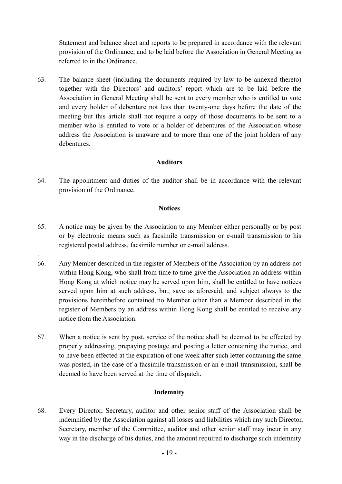Statement and balance sheet and reports to be prepared in accordance with the relevant provision of the Ordinance, and to be laid before the Association in General Meeting as referred to in the Ordinance.

63. The balance sheet (including the documents required by law to be annexed thereto) together with the Directors' and auditors' report which are to be laid before the Association in General Meeting shall be sent to every member who is entitled to vote and every holder of debenture not less than twenty-one days before the date of the meeting but this article shall not require a copy of those documents to be sent to a member who is entitled to vote or a holder of debentures of the Association whose address the Association is unaware and to more than one of the joint holders of any debentures.

#### **Auditors**

64. The appointment and duties of the auditor shall be in accordance with the relevant provision of the Ordinance.

#### **Notices**

65. A notice may be given by the Association to any Member either personally or by post or by electronic means such as facsimile transmission or e-mail transmission to his registered postal address, facsimile number or e-mail address.

.

- 66. Any Member described in the register of Members of the Association by an address not within Hong Kong, who shall from time to time give the Association an address within Hong Kong at which notice may be served upon him, shall be entitled to have notices served upon him at such address, but, save as aforesaid, and subject always to the provisions hereinbefore contained no Member other than a Member described in the register of Members by an address within Hong Kong shall be entitled to receive any notice from the Association.
- 67. When a notice is sent by post, service of the notice shall be deemed to be effected by properly addressing, prepaying postage and posting a letter containing the notice, and to have been effected at the expiration of one week after such letter containing the same was posted, in the case of a facsimile transmission or an e-mail transmission, shall be deemed to have been served at the time of dispatch.

## **Indemnity**

68. Every Director, Secretary, auditor and other senior staff of the Association shall be indemnified by the Association against all losses and liabilities which any such Director, Secretary, member of the Committee, auditor and other senior staff may incur in any way in the discharge of his duties, and the amount required to discharge such indemnity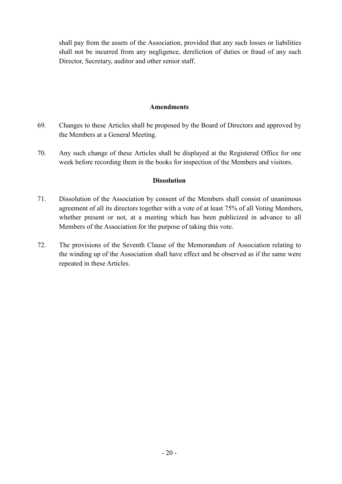shall pay from the assets of the Association, provided that any such losses or liabilities shall not be incurred from any negligence, dereliction of duties or fraud of any such Director, Secretary, auditor and other senior staff.

#### **Amendments**

- 69. Changes to these Articles shall be proposed by the Board of Directors and approved by the Members at a General Meeting.
- 70. Any such change of these Articles shall be displayed at the Registered Office for one week before recording them in the books for inspection of the Members and visitors.

#### **Dissolution**

- 71. Dissolution of the Association by consent of the Members shall consist of unanimous agreement of all its directors together with a vote of at least 75% of all Voting Members, whether present or not, at a meeting which has been publicized in advance to all Members of the Association for the purpose of taking this vote.
- 72. The provisions of the Seventh Clause of the Memorandum of Association relating to the winding up of the Association shall have effect and be observed as if the same were repeated in these Articles.